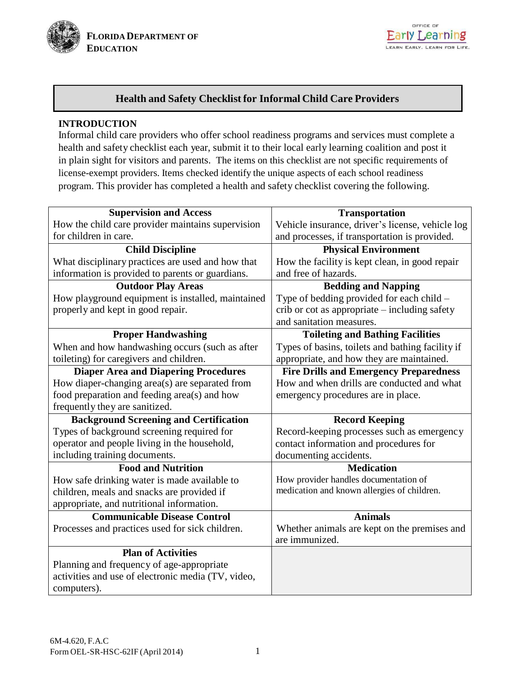



# **Health and Safety Checklist for Informal Child Care Providers**

# **INTRODUCTION**

Informal child care providers who offer school readiness programs and services must complete a health and safety checklist each year, submit it to their local early learning coalition and post it in plain sight for visitors and parents. The items on this checklist are not specific requirements of license-exempt providers. Items checked identify the unique aspects of each school readiness program. This provider has completed a health and safety checklist covering the following.

| <b>Supervision and Access</b>                      | <b>Transportation</b>                            |  |
|----------------------------------------------------|--------------------------------------------------|--|
| How the child care provider maintains supervision  | Vehicle insurance, driver's license, vehicle log |  |
| for children in care.                              | and processes, if transportation is provided.    |  |
| <b>Child Discipline</b>                            | <b>Physical Environment</b>                      |  |
| What disciplinary practices are used and how that  | How the facility is kept clean, in good repair   |  |
| information is provided to parents or guardians.   | and free of hazards.                             |  |
| <b>Outdoor Play Areas</b>                          | <b>Bedding and Napping</b>                       |  |
| How playground equipment is installed, maintained  | Type of bedding provided for each child –        |  |
| properly and kept in good repair.                  | crib or cot as appropriate - including safety    |  |
|                                                    | and sanitation measures.                         |  |
| <b>Proper Handwashing</b>                          | <b>Toileting and Bathing Facilities</b>          |  |
| When and how handwashing occurs (such as after     | Types of basins, toilets and bathing facility if |  |
| toileting) for caregivers and children.            | appropriate, and how they are maintained.        |  |
| <b>Diaper Area and Diapering Procedures</b>        | <b>Fire Drills and Emergency Preparedness</b>    |  |
| How diaper-changing area(s) are separated from     | How and when drills are conducted and what       |  |
| food preparation and feeding area(s) and how       | emergency procedures are in place.               |  |
| frequently they are sanitized.                     |                                                  |  |
| <b>Background Screening and Certification</b>      | <b>Record Keeping</b>                            |  |
| Types of background screening required for         | Record-keeping processes such as emergency       |  |
| operator and people living in the household,       | contact information and procedures for           |  |
| including training documents.                      | documenting accidents.                           |  |
| <b>Food and Nutrition</b>                          | <b>Medication</b>                                |  |
| How safe drinking water is made available to       | How provider handles documentation of            |  |
| children, meals and snacks are provided if         | medication and known allergies of children.      |  |
| appropriate, and nutritional information.          |                                                  |  |
| <b>Communicable Disease Control</b>                | <b>Animals</b>                                   |  |
| Processes and practices used for sick children.    | Whether animals are kept on the premises and     |  |
|                                                    | are immunized.                                   |  |
| <b>Plan of Activities</b>                          |                                                  |  |
| Planning and frequency of age-appropriate          |                                                  |  |
| activities and use of electronic media (TV, video, |                                                  |  |
| computers).                                        |                                                  |  |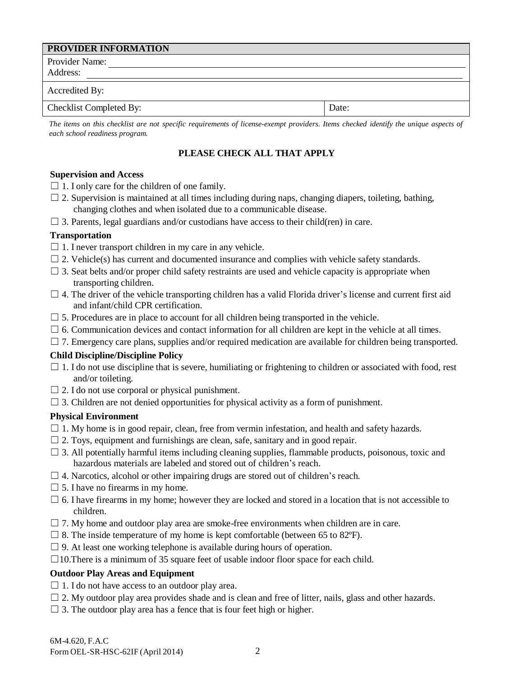| <b>PROVIDER INFORMATION</b> |       |
|-----------------------------|-------|
| Provider Name:              |       |
| Address:                    |       |
| Accredited By:              |       |
| Checklist Completed By:     | Date: |

The items on this checklist are not specific requirements of license-exempt providers. Items checked identify the unique aspects of *each school readiness program.*

# **PLEASE CHECK ALL THAT APPLY**

## **Supervision and Access**

- $\Box$  1. I only care for the children of one family.
- $\Box$  2. Supervision is maintained at all times including during naps, changing diapers, toileting, bathing, changing clothes and when isolated due to a communicable disease.
- $\Box$  3. Parents, legal guardians and/or custodians have access to their child(ren) in care.

# **Transportation**

- $\Box$  1. I never transport children in my care in any vehicle.
- $\Box$  2. Vehicle(s) has current and documented insurance and complies with vehicle safety standards.
- $\square$  3. Seat belts and/or proper child safety restraints are used and vehicle capacity is appropriate when transporting children.
- $\Box$  4. The driver of the vehicle transporting children has a valid Florida driver's license and current first aid and infant/child CPR certification.
- $\square$  5. Procedures are in place to account for all children being transported in the vehicle.
- $\Box$  6. Communication devices and contact information for all children are kept in the vehicle at all times.
- $\Box$  7. Emergency care plans, supplies and/or required medication are available for children being transported.

## **Child Discipline/Discipline Policy**

- $\Box$  1. I do not use discipline that is severe, humiliating or frightening to children or associated with food, rest and/or toileting.
- $\Box$  2. I do not use corporal or physical punishment.
- $\Box$  3. Children are not denied opportunities for physical activity as a form of punishment.

## **Physical Environment**

- $\Box$  1. My home is in good repair, clean, free from vermin infestation, and health and safety hazards.
- $\Box$  2. Toys, equipment and furnishings are clean, safe, sanitary and in good repair.
- $\Box$  3. All potentially harmful items including cleaning supplies, flammable products, poisonous, toxic and hazardous materials are labeled and stored out of children's reach.
- $\Box$  4. Narcotics, alcohol or other impairing drugs are stored out of children's reach.
- $\Box$  5. I have no firearms in my home.
- $\Box$  6. I have firearms in my home; however they are locked and stored in a location that is not accessible to children.
- $\Box$  7. My home and outdoor play area are smoke-free environments when children are in care.
- $\Box$  8. The inside temperature of my home is kept comfortable (between 65 to 82 $\degree$ F).
- $\Box$  9. At least one working telephone is available during hours of operation.
- $\Box$ 10. There is a minimum of 35 square feet of usable indoor floor space for each child.

## **Outdoor Play Areas and Equipment**

- $\Box$  1. I do not have access to an outdoor play area.
- $\Box$  2. My outdoor play area provides shade and is clean and free of litter, nails, glass and other hazards.
- $\Box$  3. The outdoor play area has a fence that is four feet high or higher.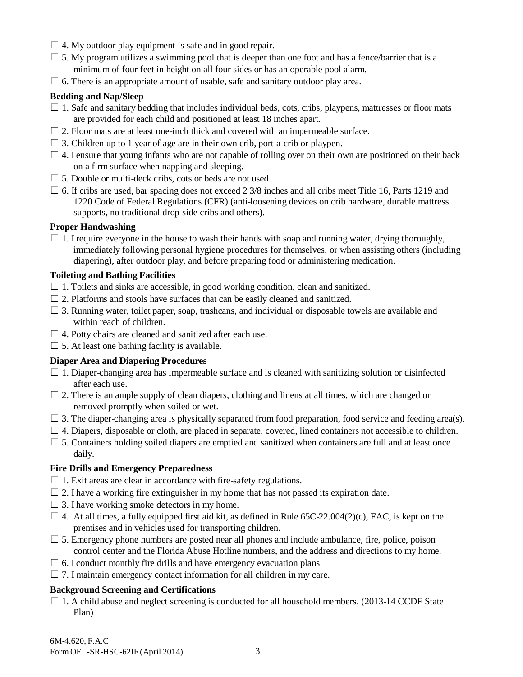- $\Box$  4. My outdoor play equipment is safe and in good repair.
- $\square$  5. My program utilizes a swimming pool that is deeper than one foot and has a fence/barrier that is a minimum of four feet in height on all four sides or has an operable pool alarm.
- $\Box$  6. There is an appropriate amount of usable, safe and sanitary outdoor play area.

## **Bedding and Nap/Sleep**

- $\Box$  1. Safe and sanitary bedding that includes individual beds, cots, cribs, playpens, mattresses or floor mats are provided for each child and positioned at least 18 inches apart.
- $\Box$  2. Floor mats are at least one-inch thick and covered with an impermeable surface.
- $\Box$  3. Children up to 1 year of age are in their own crib, port-a-crib or playpen.
- $\Box$  4. I ensure that young infants who are not capable of rolling over on their own are positioned on their back on a firm surface when napping and sleeping.
- $\Box$  5. Double or multi-deck cribs, cots or beds are not used.
- $\Box$  6. If cribs are used, bar spacing does not exceed 2 3/8 inches and all cribs meet Title 16, Parts 1219 and 1220 Code of Federal Regulations (CFR) (anti-loosening devices on crib hardware, durable mattress supports, no traditional drop-side cribs and others).

### **Proper Handwashing**

 $\Box$  1. I require everyone in the house to wash their hands with soap and running water, drying thoroughly, immediately following personal hygiene procedures for themselves, or when assisting others (including diapering), after outdoor play, and before preparing food or administering medication.

### **Toileting and Bathing Facilities**

- $\Box$  1. Toilets and sinks are accessible, in good working condition, clean and sanitized.
- $\Box$  2. Platforms and stools have surfaces that can be easily cleaned and sanitized.
- $\Box$  3. Running water, toilet paper, soap, trashcans, and individual or disposable towels are available and within reach of children.
- $\Box$  4. Potty chairs are cleaned and sanitized after each use.
- $\square$  5. At least one bathing facility is available.

#### **Diaper Area and Diapering Procedures**

- $\Box$  1. Diaper-changing area has impermeable surface and is cleaned with sanitizing solution or disinfected after each use.
- $\Box$  2. There is an ample supply of clean diapers, clothing and linens at all times, which are changed or removed promptly when soiled or wet.
- $\Box$  3. The diaper-changing area is physically separated from food preparation, food service and feeding area(s).
- $\Box$  4. Diapers, disposable or cloth, are placed in separate, covered, lined containers not accessible to children.
- $\Box$  5. Containers holding soiled diapers are emptied and sanitized when containers are full and at least once daily.

#### **Fire Drills and Emergency Preparedness**

- $\Box$  1. Exit areas are clear in accordance with fire-safety regulations.
- $\Box$  2. I have a working fire extinguisher in my home that has not passed its expiration date.
- $\Box$  3. I have working smoke detectors in my home.
- $\Box$  4. At all times, a fully equipped first aid kit, as defined in Rule 65C-22.004(2)(c), FAC, is kept on the premises and in vehicles used for transporting children.
- $\Box$  5. Emergency phone numbers are posted near all phones and include ambulance, fire, police, poison control center and the Florida Abuse Hotline numbers, and the address and directions to my home.
- $\Box$  6. I conduct monthly fire drills and have emergency evacuation plans
- $\Box$  7. I maintain emergency contact information for all children in my care.

## **Background Screening and Certifications**

 $\Box$  1. A child abuse and neglect screening is conducted for all household members. (2013-14 CCDF State Plan)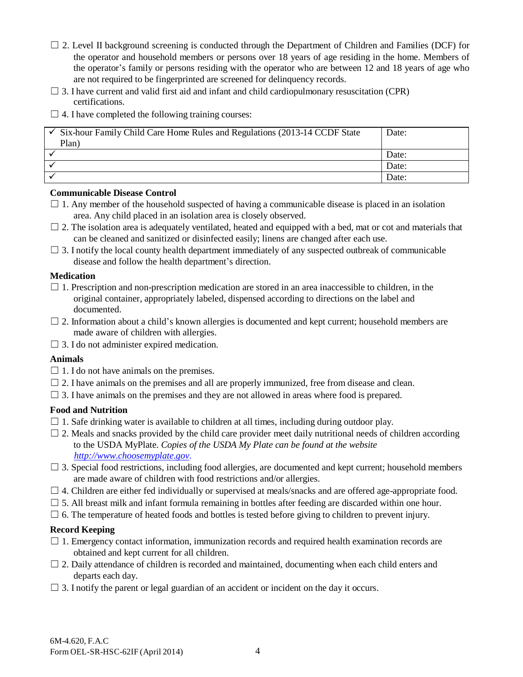- $\Box$  2. Level II background screening is conducted through the Department of Children and Families (DCF) for the operator and household members or persons over 18 years of age residing in the home. Members of the operator's family or persons residing with the operator who are between 12 and 18 years of age who are not required to be fingerprinted are screened for delinquency records.
- $\Box$  3. I have current and valid first aid and infant and child cardiopulmonary resuscitation (CPR) certifications.
- $\Box$  4. I have completed the following training courses:

| $\checkmark$ Six-hour Family Child Care Home Rules and Regulations (2013-14 CCDF State<br>Plan) | Date: |
|-------------------------------------------------------------------------------------------------|-------|
|                                                                                                 | Date: |
|                                                                                                 | Date: |
|                                                                                                 | Date: |

## **Communicable Disease Control**

- $\Box$  1. Any member of the household suspected of having a communicable disease is placed in an isolation area. Any child placed in an isolation area is closely observed.
- $\Box$  2. The isolation area is adequately ventilated, heated and equipped with a bed, mat or cot and materials that can be cleaned and sanitized or disinfected easily; linens are changed after each use.
- $\Box$  3. I notify the local county health department immediately of any suspected outbreak of communicable disease and follow the health department's direction.

### **Medication**

- $\Box$  1. Prescription and non-prescription medication are stored in an area inaccessible to children, in the original container, appropriately labeled, dispensed according to directions on the label and documented.
- $\Box$  2. Information about a child's known allergies is documented and kept current; household members are made aware of children with allergies.
- $\Box$  3. I do not administer expired medication.

#### **Animals**

- $\Box$  1. I do not have animals on the premises.
- $\Box$  2. I have animals on the premises and all are properly immunized, free from disease and clean.
- $\Box$  3. I have animals on the premises and they are not allowed in areas where food is prepared.

## **Food and Nutrition**

- $\Box$  1. Safe drinking water is available to children at all times, including during outdoor play.
- $\Box$  2. Meals and snacks provided by the child care provider meet daily nutritional needs of children according to the USDA MyPlate. *Copies of the USDA My Plate can be found at the website [http://www.choosemyplate.gov.](http://www.choosemyplate.gov/)*
- $\Box$  3. Special food restrictions, including food allergies, are documented and kept current; household members are made aware of children with food restrictions and/or allergies.
- $\Box$  4. Children are either fed individually or supervised at meals/snacks and are offered age-appropriate food.
- $\Box$  5. All breast milk and infant formula remaining in bottles after feeding are discarded within one hour.
- $\Box$  6. The temperature of heated foods and bottles is tested before giving to children to prevent injury.

## **Record Keeping**

- $\Box$  1. Emergency contact information, immunization records and required health examination records are obtained and kept current for all children.
- $\Box$  2. Daily attendance of children is recorded and maintained, documenting when each child enters and departs each day.
- $\Box$  3. I notify the parent or legal guardian of an accident or incident on the day it occurs.